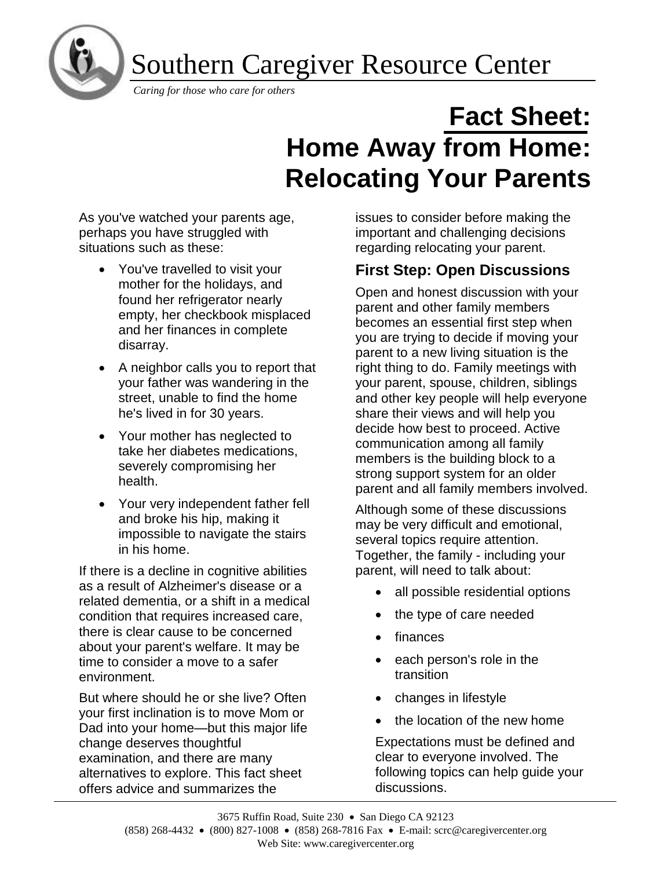Southern Caregiver Resource Center



ľ

# **Fact Sheet: Home Away from Home: Relocating Your Parents**

As you've watched your parents age, perhaps you have struggled with situations such as these:

- You've travelled to visit your mother for the holidays, and found her refrigerator nearly empty, her checkbook misplaced and her finances in complete disarray.
- A neighbor calls you to report that your father was wandering in the street, unable to find the home he's lived in for 30 years.
- Your mother has neglected to take her diabetes medications, severely compromising her health.
- Your very independent father fell and broke his hip, making it impossible to navigate the stairs in his home.

If there is a decline in cognitive abilities as a result of Alzheimer's disease or a related dementia, or a shift in a medical condition that requires increased care, there is clear cause to be concerned about your parent's welfare. It may be time to consider a move to a safer environment.

But where should he or she live? Often your first inclination is to move Mom or Dad into your home—but this major life change deserves thoughtful examination, and there are many alternatives to explore. This fact sheet offers advice and summarizes the

issues to consider before making the important and challenging decisions regarding relocating your parent.

## **First Step: Open Discussions**

Open and honest discussion with your parent and other family members becomes an essential first step when you are trying to decide if moving your parent to a new living situation is the right thing to do. Family meetings with your parent, spouse, children, siblings and other key people will help everyone share their views and will help you decide how best to proceed. Active communication among all family members is the building block to a strong support system for an older parent and all family members involved.

Although some of these discussions may be very difficult and emotional, several topics require attention. Together, the family - including your parent, will need to talk about:

- all possible residential options
- the type of care needed
- finances
- each person's role in the transition
- changes in lifestyle
- the location of the new home

Expectations must be defined and clear to everyone involved. The following topics can help guide your discussions.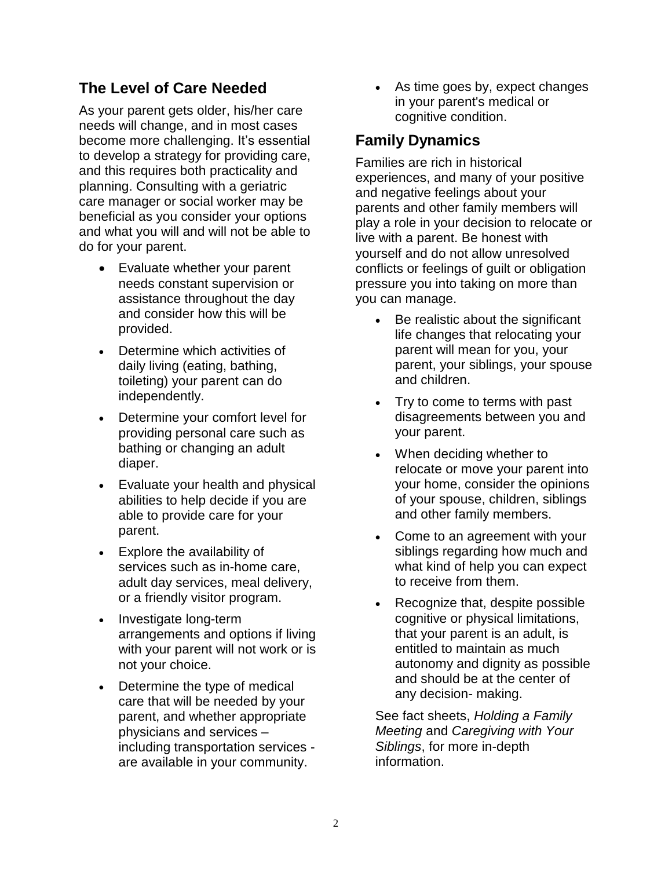## **The Level of Care Needed**

As your parent gets older, his/her care needs will change, and in most cases become more challenging. It's essential to develop a strategy for providing care, and this requires both practicality and planning. Consulting with a geriatric care manager or social worker may be beneficial as you consider your options and what you will and will not be able to do for your parent.

- Evaluate whether your parent needs constant supervision or assistance throughout the day and consider how this will be provided.
- Determine which activities of daily living (eating, bathing, toileting) your parent can do independently.
- Determine your comfort level for providing personal care such as bathing or changing an adult diaper.
- Evaluate your health and physical abilities to help decide if you are able to provide care for your parent.
- Explore the availability of services such as in-home care, adult day services, meal delivery, or a friendly visitor program.
- Investigate long-term arrangements and options if living with your parent will not work or is not your choice.
- Determine the type of medical care that will be needed by your parent, and whether appropriate physicians and services – including transportation services are available in your community.

As time goes by, expect changes in your parent's medical or cognitive condition.

#### **Family Dynamics**

Families are rich in historical experiences, and many of your positive and negative feelings about your parents and other family members will play a role in your decision to relocate or live with a parent. Be honest with yourself and do not allow unresolved conflicts or feelings of guilt or obligation pressure you into taking on more than you can manage.

- Be realistic about the significant life changes that relocating your parent will mean for you, your parent, your siblings, your spouse and children.
- Try to come to terms with past disagreements between you and your parent.
- When deciding whether to relocate or move your parent into your home, consider the opinions of your spouse, children, siblings and other family members.
- Come to an agreement with your siblings regarding how much and what kind of help you can expect to receive from them.
- Recognize that, despite possible cognitive or physical limitations, that your parent is an adult, is entitled to maintain as much autonomy and dignity as possible and should be at the center of any decision- making.

See fact sheets, *Holding a Family Meeting* and *Caregiving with Your Siblings*, for more in-depth information.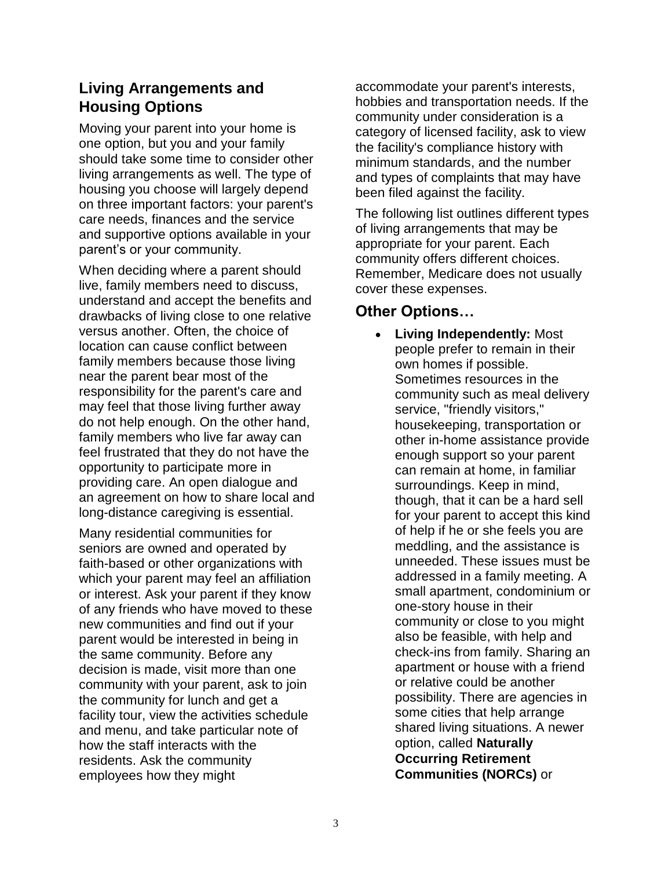## **Living Arrangements and Housing Options**

Moving your parent into your home is one option, but you and your family should take some time to consider other living arrangements as well. The type of housing you choose will largely depend on three important factors: your parent's care needs, finances and the service and supportive options available in your parent's or your community.

When deciding where a parent should live, family members need to discuss, understand and accept the benefits and drawbacks of living close to one relative versus another. Often, the choice of location can cause conflict between family members because those living near the parent bear most of the responsibility for the parent's care and may feel that those living further away do not help enough. On the other hand, family members who live far away can feel frustrated that they do not have the opportunity to participate more in providing care. An open dialogue and an agreement on how to share local and long-distance caregiving is essential.

Many residential communities for seniors are owned and operated by faith-based or other organizations with which your parent may feel an affiliation or interest. Ask your parent if they know of any friends who have moved to these new communities and find out if your parent would be interested in being in the same community. Before any decision is made, visit more than one community with your parent, ask to join the community for lunch and get a facility tour, view the activities schedule and menu, and take particular note of how the staff interacts with the residents. Ask the community employees how they might

accommodate your parent's interests, hobbies and transportation needs. If the community under consideration is a category of licensed facility, ask to view the facility's compliance history with minimum standards, and the number and types of complaints that may have been filed against the facility.

The following list outlines different types of living arrangements that may be appropriate for your parent. Each community offers different choices. Remember, Medicare does not usually cover these expenses.

#### **Other Options…**

**Living Independently: Most** people prefer to remain in their own homes if possible. Sometimes resources in the community such as meal delivery service, "friendly visitors," housekeeping, transportation or other in-home assistance provide enough support so your parent can remain at home, in familiar surroundings. Keep in mind, though, that it can be a hard sell for your parent to accept this kind of help if he or she feels you are meddling, and the assistance is unneeded. These issues must be addressed in a family meeting. A small apartment, condominium or one-story house in their community or close to you might also be feasible, with help and check-ins from family. Sharing an apartment or house with a friend or relative could be another possibility. There are agencies in some cities that help arrange shared living situations. A newer option, called **Naturally Occurring Retirement Communities (NORCs)** or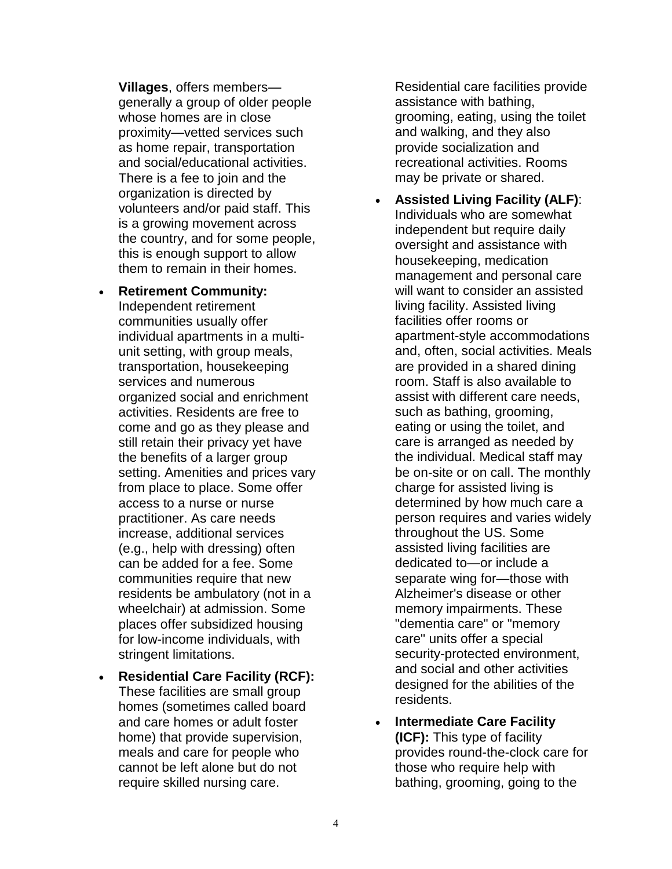**Villages**, offers members generally a group of older people whose homes are in close proximity—vetted services such as home repair, transportation and social/educational activities. There is a fee to join and the organization is directed by volunteers and/or paid staff. This is a growing movement across the country, and for some people, this is enough support to allow them to remain in their homes.

- **Retirement Community:** Independent retirement communities usually offer individual apartments in a multiunit setting, with group meals, transportation, housekeeping services and numerous organized social and enrichment activities. Residents are free to come and go as they please and still retain their privacy yet have the benefits of a larger group setting. Amenities and prices vary from place to place. Some offer access to a nurse or nurse practitioner. As care needs increase, additional services (e.g., help with dressing) often can be added for a fee. Some communities require that new residents be ambulatory (not in a wheelchair) at admission. Some places offer subsidized housing for low-income individuals, with stringent limitations.
- **Residential Care Facility (RCF):** These facilities are small group homes (sometimes called board and care homes or adult foster home) that provide supervision, meals and care for people who cannot be left alone but do not require skilled nursing care.

Residential care facilities provide assistance with bathing, grooming, eating, using the toilet and walking, and they also provide socialization and recreational activities. Rooms may be private or shared.

- **Assisted Living Facility (ALF)**: Individuals who are somewhat independent but require daily oversight and assistance with housekeeping, medication management and personal care will want to consider an assisted living facility. Assisted living facilities offer rooms or apartment-style accommodations and, often, social activities. Meals are provided in a shared dining room. Staff is also available to assist with different care needs, such as bathing, grooming, eating or using the toilet, and care is arranged as needed by the individual. Medical staff may be on-site or on call. The monthly charge for assisted living is determined by how much care a person requires and varies widely throughout the US. Some assisted living facilities are dedicated to—or include a separate wing for—those with Alzheimer's disease or other memory impairments. These "dementia care" or "memory care" units offer a special security-protected environment, and social and other activities designed for the abilities of the residents.
- **Intermediate Care Facility (ICF):** This type of facility provides round-the-clock care for those who require help with bathing, grooming, going to the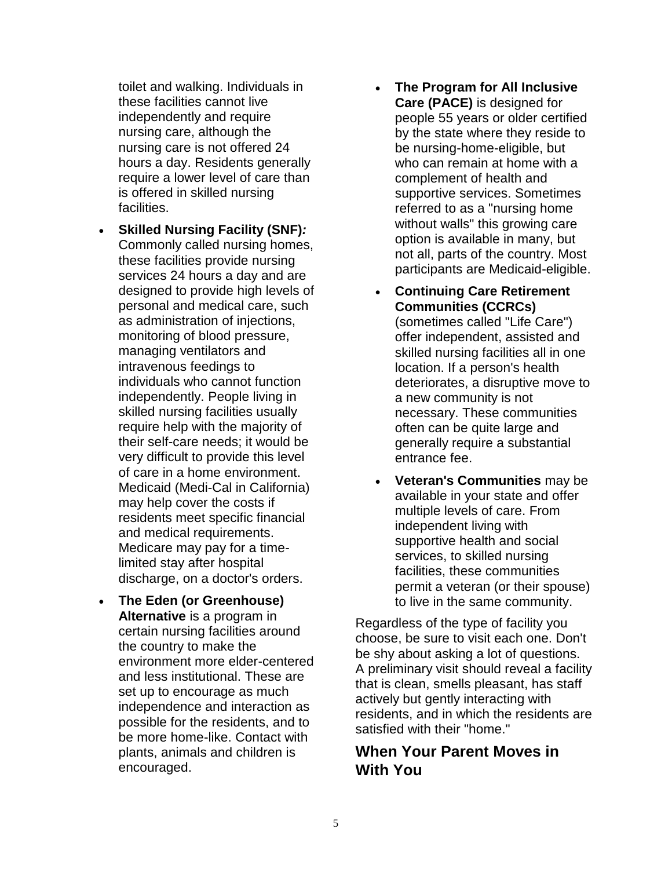toilet and walking. Individuals in these facilities cannot live independently and require nursing care, although the nursing care is not offered 24 hours a day. Residents generally require a lower level of care than is offered in skilled nursing facilities.

- **Skilled Nursing Facility (SNF)***:* Commonly called nursing homes, these facilities provide nursing services 24 hours a day and are designed to provide high levels of personal and medical care, such as administration of injections, monitoring of blood pressure, managing ventilators and intravenous feedings to individuals who cannot function independently. People living in skilled nursing facilities usually require help with the majority of their self-care needs; it would be very difficult to provide this level of care in a home environment. Medicaid (Medi-Cal in California) may help cover the costs if residents meet specific financial and medical requirements. Medicare may pay for a timelimited stay after hospital discharge, on a doctor's orders.
- **The Eden (or Greenhouse) Alternative** is a program in certain nursing facilities around the country to make the environment more elder-centered and less institutional. These are set up to encourage as much independence and interaction as possible for the residents, and to be more home-like. Contact with plants, animals and children is encouraged.
- **The Program for All Inclusive Care (PACE)** is designed for people 55 years or older certified by the state where they reside to be nursing-home-eligible, but who can remain at home with a complement of health and supportive services. Sometimes referred to as a "nursing home without walls" this growing care option is available in many, but not all, parts of the country. Most participants are Medicaid-eligible.
- **Continuing Care Retirement Communities (CCRCs)** (sometimes called "Life Care") offer independent, assisted and skilled nursing facilities all in one location. If a person's health deteriorates, a disruptive move to a new community is not necessary. These communities often can be quite large and generally require a substantial entrance fee.
- **Veteran's Communities** may be available in your state and offer multiple levels of care. From independent living with supportive health and social services, to skilled nursing facilities, these communities permit a veteran (or their spouse) to live in the same community.

Regardless of the type of facility you choose, be sure to visit each one. Don't be shy about asking a lot of questions. A preliminary visit should reveal a facility that is clean, smells pleasant, has staff actively but gently interacting with residents, and in which the residents are satisfied with their "home."

#### **When Your Parent Moves in With You**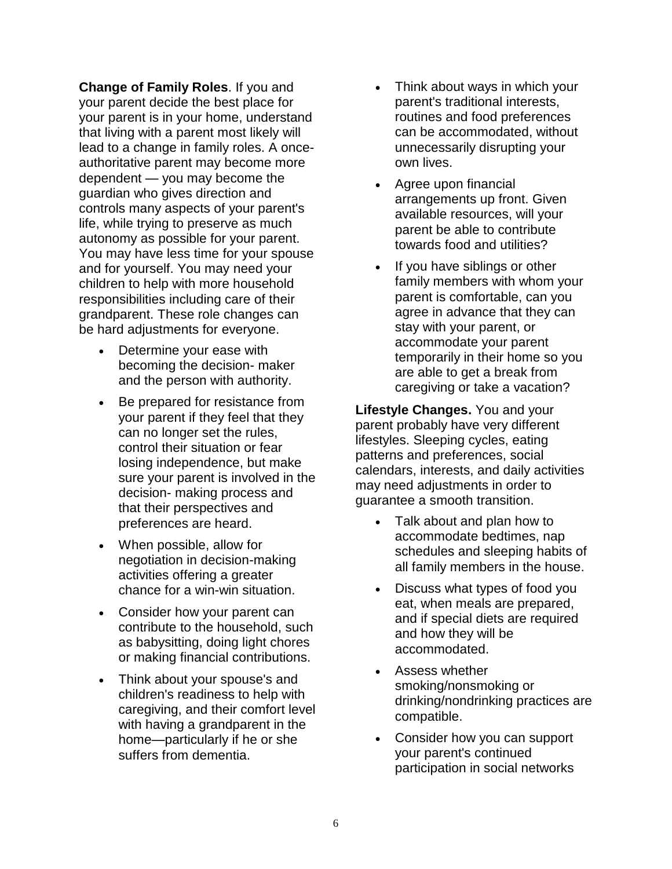**Change of Family Roles**. If you and your parent decide the best place for your parent is in your home, understand that living with a parent most likely will lead to a change in family roles. A onceauthoritative parent may become more dependent — you may become the guardian who gives direction and controls many aspects of your parent's life, while trying to preserve as much autonomy as possible for your parent. You may have less time for your spouse and for yourself. You may need your children to help with more household responsibilities including care of their grandparent. These role changes can be hard adjustments for everyone.

- Determine your ease with becoming the decision- maker and the person with authority.
- Be prepared for resistance from your parent if they feel that they can no longer set the rules, control their situation or fear losing independence, but make sure your parent is involved in the decision- making process and that their perspectives and preferences are heard.
- When possible, allow for negotiation in decision-making activities offering a greater chance for a win-win situation.
- Consider how your parent can contribute to the household, such as babysitting, doing light chores or making financial contributions.
- Think about your spouse's and children's readiness to help with caregiving, and their comfort level with having a grandparent in the home—particularly if he or she suffers from dementia.
- Think about ways in which your parent's traditional interests, routines and food preferences can be accommodated, without unnecessarily disrupting your own lives.
- Agree upon financial arrangements up front. Given available resources, will your parent be able to contribute towards food and utilities?
- If you have siblings or other family members with whom your parent is comfortable, can you agree in advance that they can stay with your parent, or accommodate your parent temporarily in their home so you are able to get a break from caregiving or take a vacation?

**Lifestyle Changes.** You and your parent probably have very different lifestyles. Sleeping cycles, eating patterns and preferences, social calendars, interests, and daily activities may need adjustments in order to guarantee a smooth transition.

- Talk about and plan how to accommodate bedtimes, nap schedules and sleeping habits of all family members in the house.
- Discuss what types of food you eat, when meals are prepared, and if special diets are required and how they will be accommodated.
- Assess whether smoking/nonsmoking or drinking/nondrinking practices are compatible.
- Consider how you can support your parent's continued participation in social networks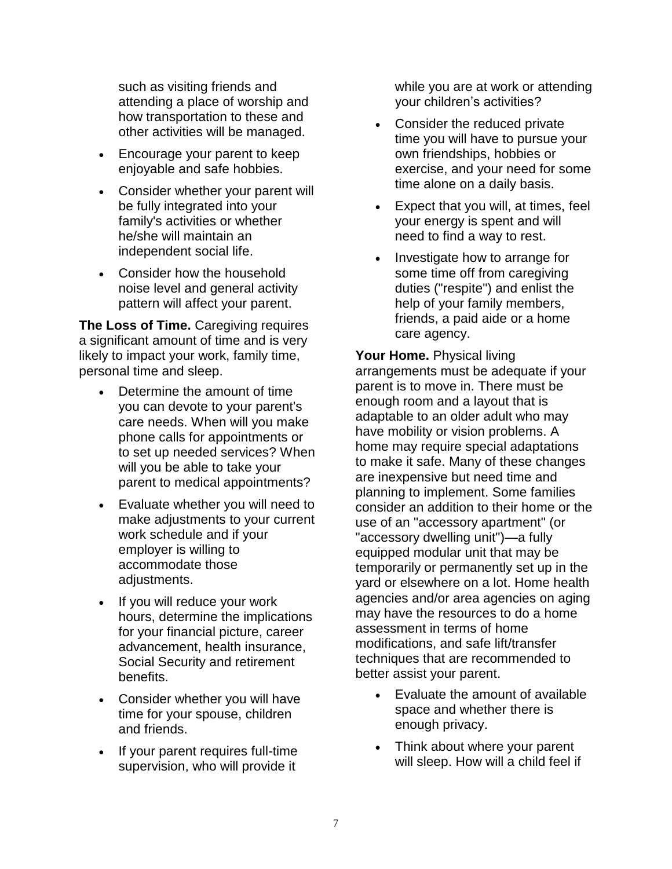such as visiting friends and attending a place of worship and how transportation to these and other activities will be managed.

- Encourage your parent to keep enjoyable and safe hobbies.
- Consider whether your parent will be fully integrated into your family's activities or whether he/she will maintain an independent social life.
- Consider how the household noise level and general activity pattern will affect your parent.

**The Loss of Time.** Caregiving requires a significant amount of time and is very likely to impact your work, family time, personal time and sleep.

- Determine the amount of time you can devote to your parent's care needs. When will you make phone calls for appointments or to set up needed services? When will you be able to take your parent to medical appointments?
- Evaluate whether you will need to make adjustments to your current work schedule and if your employer is willing to accommodate those adjustments.
- If you will reduce your work hours, determine the implications for your financial picture, career advancement, health insurance, Social Security and retirement benefits.
- Consider whether you will have time for your spouse, children and friends.
- If your parent requires full-time supervision, who will provide it

while you are at work or attending your children's activities?

- Consider the reduced private time you will have to pursue your own friendships, hobbies or exercise, and your need for some time alone on a daily basis.
- Expect that you will, at times, feel your energy is spent and will need to find a way to rest.
- Investigate how to arrange for some time off from caregiving duties ("respite") and enlist the help of your family members, friends, a paid aide or a home care agency.

**Your Home.** Physical living arrangements must be adequate if your parent is to move in. There must be enough room and a layout that is adaptable to an older adult who may have mobility or vision problems. A home may require special adaptations to make it safe. Many of these changes are inexpensive but need time and planning to implement. Some families consider an addition to their home or the use of an "accessory apartment" (or "accessory dwelling unit")—a fully equipped modular unit that may be temporarily or permanently set up in the yard or elsewhere on a lot. Home health agencies and/or area agencies on aging may have the resources to do a home assessment in terms of home modifications, and safe lift/transfer techniques that are recommended to better assist your parent.

- Evaluate the amount of available space and whether there is enough privacy.
- Think about where your parent will sleep. How will a child feel if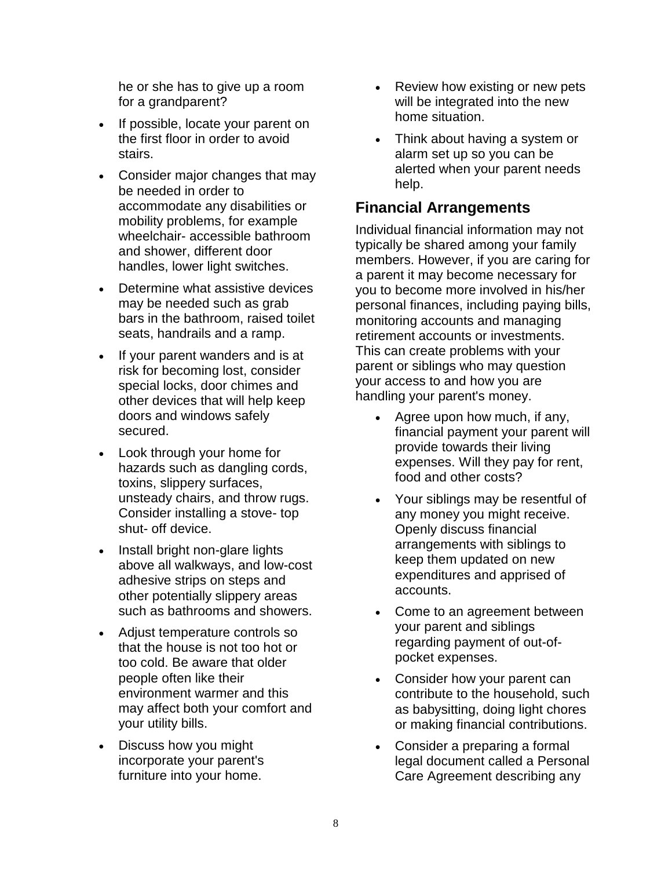he or she has to give up a room for a grandparent?

- If possible, locate your parent on the first floor in order to avoid stairs.
- Consider major changes that may be needed in order to accommodate any disabilities or mobility problems, for example wheelchair- accessible bathroom and shower, different door handles, lower light switches.
- Determine what assistive devices may be needed such as grab bars in the bathroom, raised toilet seats, handrails and a ramp.
- If your parent wanders and is at risk for becoming lost, consider special locks, door chimes and other devices that will help keep doors and windows safely secured.
- Look through your home for hazards such as dangling cords, toxins, slippery surfaces, unsteady chairs, and throw rugs. Consider installing a stove- top shut- off device.
- Install bright non-glare lights above all walkways, and low-cost adhesive strips on steps and other potentially slippery areas such as bathrooms and showers.
- Adjust temperature controls so that the house is not too hot or too cold. Be aware that older people often like their environment warmer and this may affect both your comfort and your utility bills.
- Discuss how you might incorporate your parent's furniture into your home.
- Review how existing or new pets will be integrated into the new home situation.
- Think about having a system or alarm set up so you can be alerted when your parent needs help.

## **Financial Arrangements**

Individual financial information may not typically be shared among your family members. However, if you are caring for a parent it may become necessary for you to become more involved in his/her personal finances, including paying bills, monitoring accounts and managing retirement accounts or investments. This can create problems with your parent or siblings who may question your access to and how you are handling your parent's money.

- Agree upon how much, if any, financial payment your parent will provide towards their living expenses. Will they pay for rent, food and other costs?
- Your siblings may be resentful of any money you might receive. Openly discuss financial arrangements with siblings to keep them updated on new expenditures and apprised of accounts.
- Come to an agreement between your parent and siblings regarding payment of out-ofpocket expenses.
- Consider how your parent can contribute to the household, such as babysitting, doing light chores or making financial contributions.
- Consider a preparing a formal legal document called a Personal Care Agreement describing any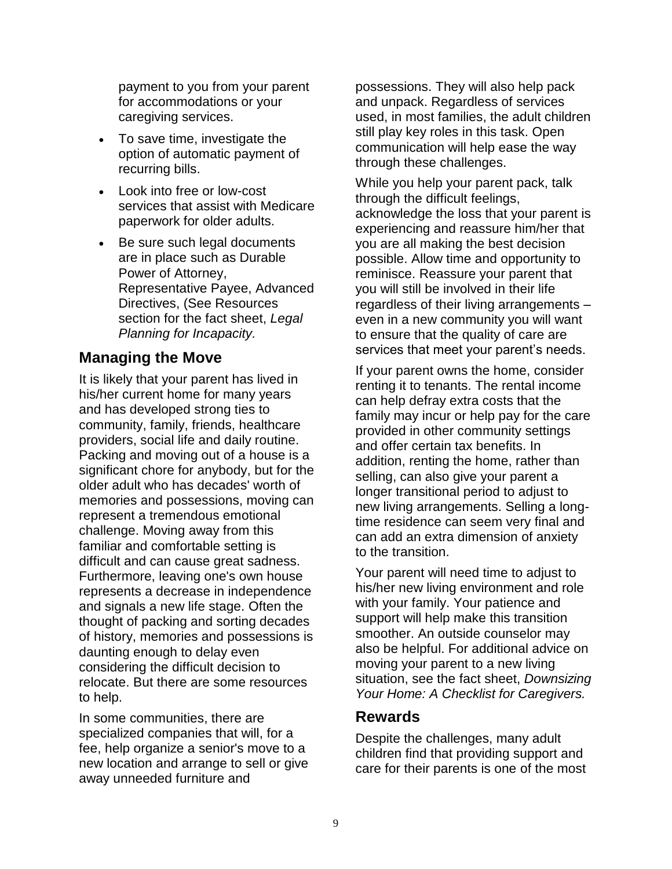payment to you from your parent for accommodations or your caregiving services.

- To save time, investigate the option of automatic payment of recurring bills.
- Look into free or low-cost services that assist with Medicare paperwork for older adults.
- Be sure such legal documents are in place such as Durable Power of Attorney, Representative Payee, Advanced Directives, (See Resources section for the fact sheet, *Legal Planning for Incapacity.*

#### **Managing the Move**

It is likely that your parent has lived in his/her current home for many years and has developed strong ties to community, family, friends, healthcare providers, social life and daily routine. Packing and moving out of a house is a significant chore for anybody, but for the older adult who has decades' worth of memories and possessions, moving can represent a tremendous emotional challenge. Moving away from this familiar and comfortable setting is difficult and can cause great sadness. Furthermore, leaving one's own house represents a decrease in independence and signals a new life stage. Often the thought of packing and sorting decades of history, memories and possessions is daunting enough to delay even considering the difficult decision to relocate. But there are some resources to help.

In some communities, there are specialized companies that will, for a fee, help organize a senior's move to a new location and arrange to sell or give away unneeded furniture and

possessions. They will also help pack and unpack. Regardless of services used, in most families, the adult children still play key roles in this task. Open communication will help ease the way through these challenges.

While you help your parent pack, talk through the difficult feelings, acknowledge the loss that your parent is experiencing and reassure him/her that you are all making the best decision possible. Allow time and opportunity to reminisce. Reassure your parent that you will still be involved in their life regardless of their living arrangements – even in a new community you will want to ensure that the quality of care are services that meet your parent's needs.

If your parent owns the home, consider renting it to tenants. The rental income can help defray extra costs that the family may incur or help pay for the care provided in other community settings and offer certain tax benefits. In addition, renting the home, rather than selling, can also give your parent a longer transitional period to adjust to new living arrangements. Selling a longtime residence can seem very final and can add an extra dimension of anxiety to the transition.

Your parent will need time to adjust to his/her new living environment and role with your family. Your patience and support will help make this transition smoother. An outside counselor may also be helpful. For additional advice on moving your parent to a new living situation, see the fact sheet, *Downsizing Your Home: A Checklist for Caregivers.*

#### **Rewards**

Despite the challenges, many adult children find that providing support and care for their parents is one of the most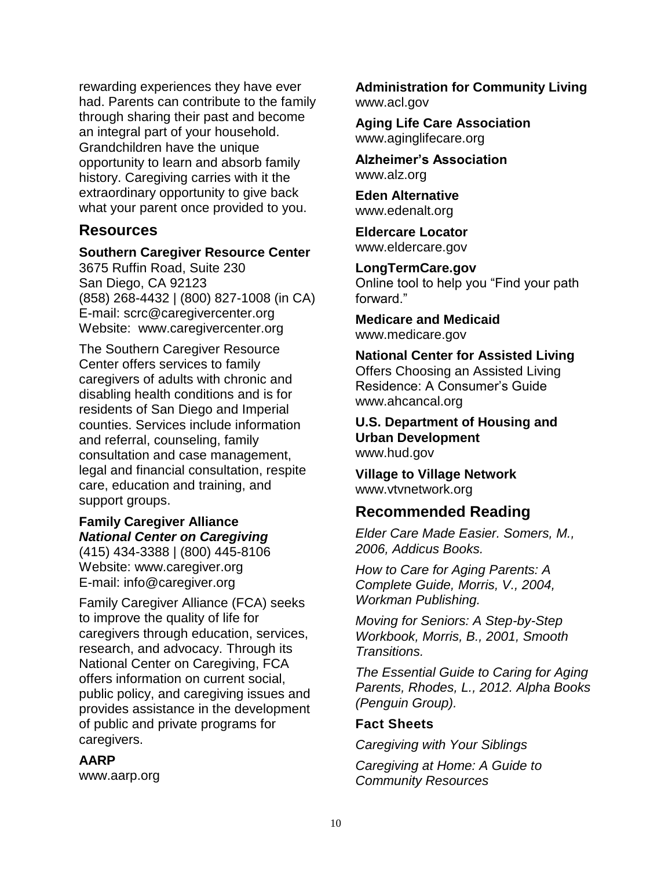rewarding experiences they have ever had. Parents can contribute to the family through sharing their past and become an integral part of your household. Grandchildren have the unique opportunity to learn and absorb family history. Caregiving carries with it the extraordinary opportunity to give back what your parent once provided to you.

#### **Resources**

#### **Southern Caregiver Resource Center**

3675 Ruffin Road, Suite 230 San Diego, CA 92123 (858) 268-4432 | (800) 827-1008 (in CA) E-mail: scrc@caregivercenter.org Website: www.caregivercenter.org

The Southern Caregiver Resource Center offers services to family caregivers of adults with chronic and disabling health conditions and is for residents of San Diego and Imperial counties. Services include information and referral, counseling, family consultation and case management, legal and financial consultation, respite care, education and training, and support groups.

#### **Family Caregiver Alliance** *National Center on Caregiving*

(415) 434-3388 | (800) 445-8106 Website: www.caregiver.org E-mail: info@caregiver.org

Family Caregiver Alliance (FCA) seeks to improve the quality of life for caregivers through education, services, research, and advocacy. Through its National Center on Caregiving, FCA offers information on current social, public policy, and caregiving issues and provides assistance in the development of public and private programs for caregivers.

#### **AARP**

www.aarp.org

**Administration for Community Living** www.acl.gov

**Aging Life Care Association** www.aginglifecare.org

**Alzheimer's Association** www.alz.org

**Eden Alternative** www.edenalt.org

**Eldercare Locator** www.eldercare.gov

**LongTermCare.gov** Online tool to help you "Find your path forward."

**Medicare and Medicaid** www.medicare.gov

**National Center for Assisted Living** Offers Choosing an Assisted Living Residence: A Consumer's Guide www.ahcancal.org

**U.S. Department of Housing and Urban Development** www.hud.gov

**Village to Village Network** www.vtvnetwork.org

#### **Recommended Reading**

*Elder Care Made Easier. Somers, M., 2006, Addicus Books.*

*How to Care for Aging Parents: A Complete Guide, Morris, V., 2004, Workman Publishing.*

*Moving for Seniors: A Step-by-Step Workbook, Morris, B., 2001, Smooth Transitions.*

*The Essential Guide to Caring for Aging Parents, Rhodes, L., 2012. Alpha Books (Penguin Group).*

#### **Fact Sheets**

*Caregiving with Your Siblings*

*Caregiving at Home: A Guide to Community Resources*